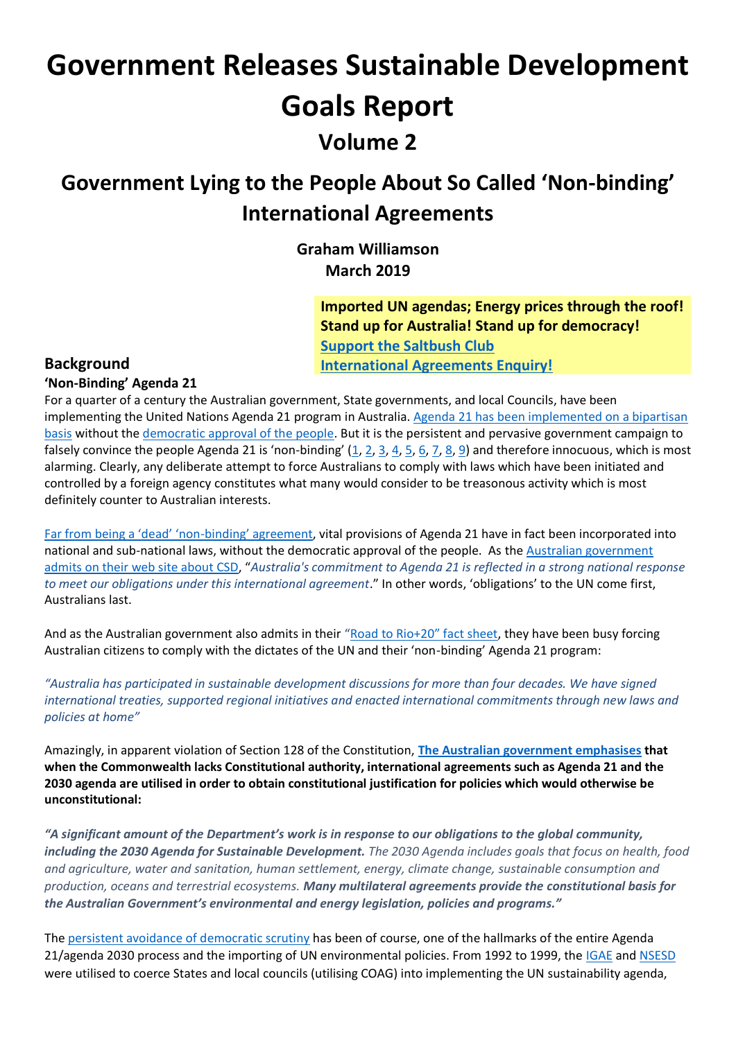# **Government Releases Sustainable Development Goals Report Volume 2**

## **Government Lying to the People About So Called 'Non-binding' International Agreements**

**Graham Williamson March 2019**

> **Imported UN agendas; Energy prices through the roof! Stand up for Australia! Stand up for democracy! [Support the Saltbush Club](https://saltbushclub.com/2019/03/11/constitutional-enquiry/)  [International Agreements Enquiry!](https://saltbushclub.com/2019/03/11/constitutional-enquiry/)**

### **Background**

### **'Non-Binding' Agenda 21**

For a quarter of a century the Australian government, State governments, and local Councils, have been implementing the United Nations Agenda 21 program in Australia. [Agenda 21 has been implemented on a bipartisan](http://www.galileomovement.com.au/docs/gw/PublicPolicy.pdf)  [basis](http://www.galileomovement.com.au/docs/gw/PublicPolicy.pdf) without th[e democratic approval of the people.](http://www.galileomovement.com.au/docs/gw/UN_DemocracyFlyer.pdf) But it is the persistent and pervasive government campaign to falsely convince the people Agenda 21 is 'non-binding'  $(1, 2, 3, 4, 5, 6, 7, 8, 9)$  $(1, 2, 3, 4, 5, 6, 7, 8, 9)$  $(1, 2, 3, 4, 5, 6, 7, 8, 9)$  $(1, 2, 3, 4, 5, 6, 7, 8, 9)$  $(1, 2, 3, 4, 5, 6, 7, 8, 9)$  $(1, 2, 3, 4, 5, 6, 7, 8, 9)$  $(1, 2, 3, 4, 5, 6, 7, 8, 9)$  $(1, 2, 3, 4, 5, 6, 7, 8, 9)$  $(1, 2, 3, 4, 5, 6, 7, 8, 9)$  and therefore innocuous, which is most alarming. Clearly, any deliberate attempt to force Australians to comply with laws which have been initiated and controlled by a foreign agency constitutes what many would consider to be treasonous activity which is most definitely counter to Australian interests.

[Far from being a 'dead' 'non](http://www.galileomovement.com.au/docs/gw/Agenda21inAustralia_2.pdf)-binding' agreement, vital provisions of Agenda 21 have in fact been incorporated into national and sub-national laws, without the democratic approval of the people. As the [Australian government](https://www.environment.gov.au/about-us/international/uncsd)  [admits on their web site about CSD](https://www.environment.gov.au/about-us/international/uncsd), "*Australia's commitment to Agenda 21 is reflected in a strong national response to meet our obligations under this international agreement*." In other words, 'obligations' to the UN come first, Australians last.

And as the Australian government also admits in their ["Road to Rio+20" fact sheet](http://www.environment.gov.au/system/files/pages/1b844ecd-138b-4786-982a-bf1c9508c53a/files/rio-factsheet-2.pdf), they have been busy forcing Australian citizens to comply with the dictates of the UN and their 'non-binding' Agenda 21 program:

*"Australia has participated in sustainable development discussions for more than four decades. We have signed international treaties, supported regional initiatives and enacted international commitments through new laws and policies at home"*

Amazingly, in apparent violation of Section 128 of the Constitution, **[The Australian government emphasises](http://www.environment.gov.au/about-us/corporate-plan-2016-17/operational-context) that when the Commonwealth lacks Constitutional authority, international agreements such as Agenda 21 and the 2030 agenda are utilised in order to obtain constitutional justification for policies which would otherwise be unconstitutional:**

*"A significant amount of the Department's work is in response to our obligations to the global community, including the 2030 Agenda for Sustainable Development. The 2030 Agenda includes goals that focus on health, food and agriculture, water and sanitation, human settlement, energy, climate change, sustainable consumption and production, oceans and terrestrial ecosystems. Many multilateral agreements provide the constitutional basis for the Australian Government's environmental and energy legislation, policies and programs."*

The [persistent avoidance of democratic scrutiny](http://www.galileomovement.com.au/docs/gw/COAG_Democracy_Agenda21.pdf) has been of course, one of the hallmarks of the entire Agenda 21/agenda 2030 process and the importing of UN environmental policies. From 1992 to 1999, the [IGAE](http://www.environment.gov.au/about-us/esd/publications/intergovernmental-agreement) and [NSESD](http://www.environment.gov.au/about-us/esd/publications/national-esd-strategy) were utilised to coerce States and local councils (utilising COAG) into implementing the UN sustainability agenda,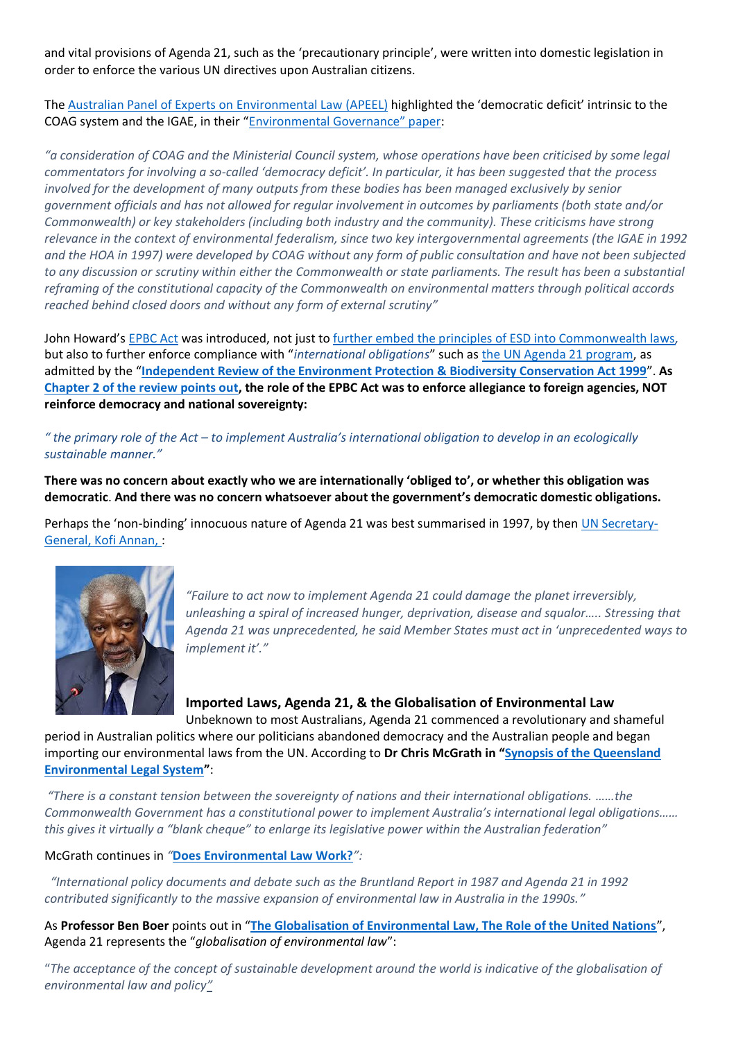and vital provisions of Agenda 21, such as the 'precautionary principle', were written into domestic legislation in order to enforce the various UN directives upon Australian citizens.

The [Australian Panel of Experts on Environmental Law](http://apeel.org.au/) (APEEL) highlighted the 'democratic deficit' intrinsic to the COAG system and the IGAE, in their ["Environmental Governance" paper](https://static1.squarespace.com/static/56401dfde4b090fd5510d622/t/58faabf1b3db2b0df84a20c7/1492823030329/APEEL_Environmental_governance.pdf):

*"a consideration of COAG and the Ministerial Council system, whose operations have been criticised by some legal commentators for involving a so-called 'democracy deficit'. In particular, it has been suggested that the process involved for the development of many outputs from these bodies has been managed exclusively by senior government officials and has not allowed for regular involvement in outcomes by parliaments (both state and/or Commonwealth) or key stakeholders (including both industry and the community). These criticisms have strong relevance in the context of environmental federalism, since two key intergovernmental agreements (the IGAE in 1992 and the HOA in 1997) were developed by COAG without any form of public consultation and have not been subjected to any discussion or scrutiny within either the Commonwealth or state parliaments. The result has been a substantial reframing of the constitutional capacity of the Commonwealth on environmental matters through political accords reached behind closed doors and without any form of external scrutiny"*

John Howard's [EPBC Act](https://www.environment.gov.au/epbc/about) was introduced, not just t[o further embed the principles of ESD into Commonwealth laws](http://www.aph.gov.au/About_Parliament/Parliamentary_Departments/Parliamentary_Library/pubs/rp/RP9798/98rp16)*,* but also to further enforce compliance with "*international obligations*" such as [the UN Agenda 21 program,](http://www.un.org/esa/agenda21/natlinfo/countr/austral/inst.htm) as admitted by the "**[Independent Review of the Environment Protection & Biodiversity Conservation Act 1999](https://www.environment.gov.au/resource/independent-review-environment-protection-and-biodiversity-conservation-act-1999-interim)**". **As [Chapter 2 of the review points out,](https://www.environment.gov.au/system/files/resources/5d70283b-3777-442e-b395-b0a22ba1b273/files/02-objectives.pdf) the role of the EPBC Act was to enforce allegiance to foreign agencies, NOT reinforce democracy and national sovereignty:**

### *" the primary role of the Act – to implement Australia's international obligation to develop in an ecologically sustainable manner."*

**There was no concern about exactly who we are internationally 'obliged to', or whether this obligation was democratic**. **And there was no concern whatsoever about the government's democratic domestic obligations.**

Perhaps the 'non-binding' innocuous nature of Agenda 21 was best summarised in 1997, by then [UN Secretary-](https://www.un.org/press/en/1997/19970623.GA9259.html)[General, Kofi Annan,](https://www.un.org/press/en/1997/19970623.GA9259.html) :



*"Failure to act now to implement Agenda 21 could damage the planet irreversibly, unleashing a spiral of increased hunger, deprivation, disease and squalor….. Stressing that Agenda 21 was unprecedented, he said Member States must act in 'unprecedented ways to implement it'."*

**Imported Laws, Agenda 21, & the Globalisation of Environmental Law** Unbeknown to most Australians, Agenda 21 commenced a revolutionary and shameful

period in Australian politics where our politicians abandoned democracy and the Australian people and began importing our environmental laws from the UN. According to **Dr Chris McGrath in "[Synopsis of the Queensland](http://www.envlaw.com.au/sqels5.pdf)  [Environmental Legal System](http://www.envlaw.com.au/sqels5.pdf)"**:

*"There is a constant tension between the sovereignty of nations and their international obligations. ……the Commonwealth Government has a constitutional power to implement Australia's international legal obligations…… this gives it virtually a "blank cheque" to enlarge its legislative power within the Australian federation"*

McGrath continues in *"***[Does Environmental Law Work?](http://www.envlaw.com.au/delw.pdf)***":*

 *"International policy documents and debate such as the Bruntland Report in 1987 and Agenda 21 in 1992 contributed significantly to the massive expansion of environmental law in Australia in the 1990s."*

As **Professor Ben Boer** points out in "**[The Globalisation of Environmental Law, The Role of the United Nations](http://www.austlii.edu.au/au/journals/MelbULawRw/1995/8.pdf)**", Agenda 21 represents the "*globalisation of environmental law*":

"*The acceptance of the concept of sustainable development around the world is indicative of the globalisation of environmental law and policy"*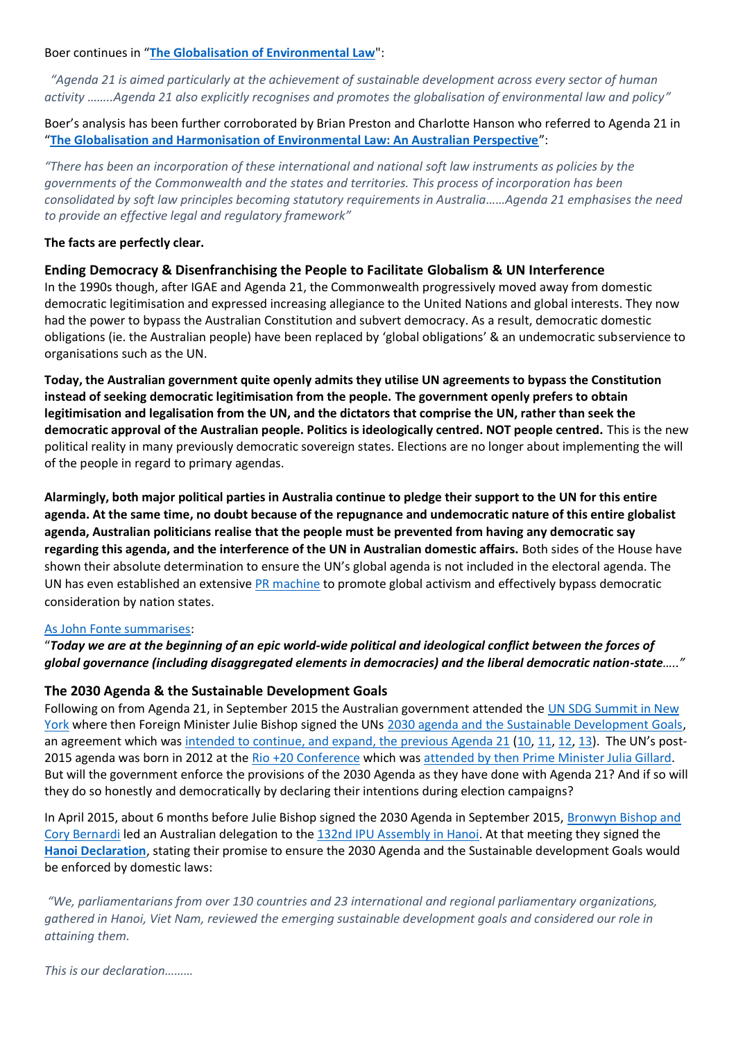Boer continues in "**[The Globalisation of Environmental Law](http://www.austlii.edu.au/au/journals/ALRCRefJl/2000/7.html)**":

 *"Agenda 21 is aimed particularly at the achievement of sustainable development across every sector of human activity ……..Agenda 21 also explicitly recognises and promotes the globalisation of environmental law and policy"*

Boer's analysis has been further corroborated by Brian Preston and Charlotte Hanson who referred to Agenda 21 in "**[The Globalisation and Harmonisation of Environmental Law: An Australian Perspective](http://www.lec.justice.nsw.gov.au/Documents/prestoncj%20globalisation%20and%20harmonisation%20of%20environmental%20law%20-%20(2013)%2016%20apjel%201.pdf)**":

*"There has been an incorporation of these international and national soft law instruments as policies by the governments of the Commonwealth and the states and territories. This process of incorporation has been consolidated by soft law principles becoming statutory requirements in Australia……Agenda 21 emphasises the need to provide an effective legal and regulatory framework"*

### **The facts are perfectly clear.**

### **Ending Democracy & Disenfranchising the People to Facilitate Globalism & UN Interference**

In the 1990s though, after IGAE and Agenda 21, the Commonwealth progressively moved away from domestic democratic legitimisation and expressed increasing allegiance to the United Nations and global interests. They now had the power to bypass the Australian Constitution and subvert democracy. As a result, democratic domestic obligations (ie. the Australian people) have been replaced by 'global obligations' & an undemocratic subservience to organisations such as the UN.

**Today, the Australian government quite openly admits they utilise UN agreements to bypass the Constitution instead of seeking democratic legitimisation from the people. The government openly prefers to obtain legitimisation and legalisation from the UN, and the dictators that comprise the UN, rather than seek the democratic approval of the Australian people. Politics is ideologically centred. NOT people centred.** This is the new political reality in many previously democratic sovereign states. Elections are no longer about implementing the will of the people in regard to primary agendas.

**Alarmingly, both major political parties in Australia continue to pledge their support to the UN for this entire agenda. At the same time, no doubt because of the repugnance and undemocratic nature of this entire globalist agenda, Australian politicians realise that the people must be prevented from having any democratic say regarding this agenda, and the interference of the UN in Australian domestic affairs.** Both sides of the House have shown their absolute determination to ensure the UN's global agenda is not included in the electoral agenda. The UN has even established an extensive [PR machine](https://web.archive.org/web/20160401224001/https:/stakeholderforum.org/fileadmin/files/Post2015AdvocacyToolkit.pdf) to promote global activism and effectively bypass democratic consideration by nation states.

#### [As John Fonte summarises:](https://www.fpri.org/article/2011/10/sovereignty-or-submission-liberal-democracy-or-global-governance/)

### "*Today we are at the beginning of an epic world-wide political and ideological conflict between the forces of global governance (including disaggregated elements in democracies) and the liberal democratic nation-state….."*

### **The 2030 Agenda & the Sustainable Development Goals**

Following on from Agenda 21, in September 2015 the Australian government attended the UN SDG Summit in New [York](https://sustainabledevelopment.un.org/post2015/summit) where then Foreign Minister Julie Bishop signed the UNs [2030 agenda and the Sustainable Development Goals,](https://sustainabledevelopment.un.org/post2015/transformingourworld) an agreement which was [intended to continue, and expand, the previous Agenda 21](https://sustainabledevelopment.un.org/content/documents/733FutureWeWant.pdf) [\(10,](http://www.galileomovement.com.au/docs/gw/2030_AgendaBetrayal.pdf) [11,](http://www.galileomovement.com.au/docs/gw/UN_SDG_TrueAgenda2.pdf) [12,](http://carbon-sense.com/wp-content/uploads/2016/07/a-summary-of-betrayal.pdf) [13\)](https://www.aph.gov.au/DocumentStore.ashx?id=0b5b961d-77a5-4da9-87e7-7ca568baf91f&subId=563888). The UN's post-2015 agenda was born in 2012 at the [Rio +20 Conference](http://www.uncsd2012.org/content/documents/814UNCSD%20REPORT%20final%20revs.pdf) which was [attended by then Prime Minister Julia Gillard.](http://en.wikipedia.org/wiki/United_Nations_Conference_on_Sustainable_Development) But will the government enforce the provisions of the 2030 Agenda as they have done with Agenda 21? And if so will they do so honestly and democratically by declaring their intentions during election campaigns?

In April 2015, about 6 months before Julie Bishop signed the 2030 Agenda in September 2015, [Bronwyn Bishop and](http://archive.ipu.org/conf-e/132/list.pdf)  [Cory Bernardi](http://archive.ipu.org/conf-e/132/list.pdf) led an Australian delegation to the [132nd IPU Assembly in Hanoi.](http://archive.ipu.org/conf-e/132agnd.htm) At that meeting they signed the **[Hanoi Declaration](http://archive.ipu.org/conf-e/132/rpt-gendebate.htm)**, stating their promise to ensure the 2030 Agenda and the Sustainable development Goals would be enforced by domestic laws:

*"We, parliamentarians from over 130 countries and 23 international and regional parliamentary organizations, gathered in Hanoi, Viet Nam, reviewed the emerging sustainable development goals and considered our role in attaining them.*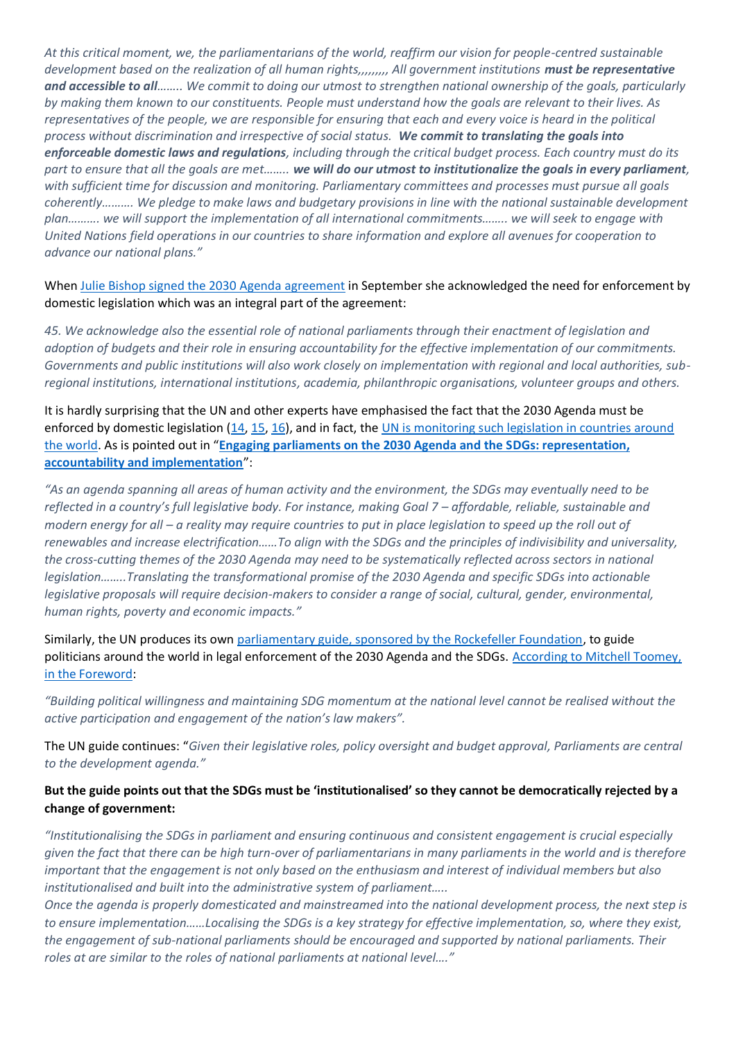*At this critical moment, we, the parliamentarians of the world, reaffirm our vision for people-centred sustainable development based on the realization of all human rights,,,,,,,,, All government institutions must be representative and accessible to all…….. We commit to doing our utmost to strengthen national ownership of the goals, particularly by making them known to our constituents. People must understand how the goals are relevant to their lives. As representatives of the people, we are responsible for ensuring that each and every voice is heard in the political process without discrimination and irrespective of social status. We commit to translating the goals into enforceable domestic laws and regulations, including through the critical budget process. Each country must do its part to ensure that all the goals are met…….. we will do our utmost to institutionalize the goals in every parliament, with sufficient time for discussion and monitoring. Parliamentary committees and processes must pursue all goals coherently………. We pledge to make laws and budgetary provisions in line with the national sustainable development plan………. we will support the implementation of all international commitments…….. we will seek to engage with United Nations field operations in our countries to share information and explore all avenues for cooperation to advance our national plans."*

When [Julie Bishop signed the 2030](https://sustainabledevelopment.un.org/post2015/transformingourworld) Agenda agreement in September she acknowledged the need for enforcement by domestic legislation which was an integral part of the agreement:

*45. We acknowledge also the essential role of national parliaments through their enactment of legislation and adoption of budgets and their role in ensuring accountability for the effective implementation of our commitments. Governments and public institutions will also work closely on implementation with regional and local authorities, subregional institutions, international institutions, academia, philanthropic organisations, volunteer groups and others.*

It is hardly surprising that the UN and other experts have emphasised the fact that the 2030 Agenda must be enforced by domestic legislation [\(14,](https://agora-parl.org/resources/aoe/sustainable-development-goals-sdgs-post-2015-agenda) [15,](https://myworld2015.files.wordpress.com/2017/04/parliamentary-manual-updated.pdf) [16\)](https://www.together2030.org/wp-content/uploads/2018/07/Engaging-parliaments-on-the-2030-Agenda-and-the-SDGs.pdf), and in fact, the [UN is monitoring such legislation in countries around](http://workspace.unpan.org/sites/Internet/Documents/UNPAN97468.pdf)  [the world.](http://workspace.unpan.org/sites/Internet/Documents/UNPAN97468.pdf) As is pointed out in "**[Engaging parliaments on the 2030 Agenda and the SDGs: representation,](https://www.together2030.org/wp-content/uploads/2018/07/Engaging-parliaments-on-the-2030-Agenda-and-the-SDGs.pdf)  [accountability and implementation](https://www.together2030.org/wp-content/uploads/2018/07/Engaging-parliaments-on-the-2030-Agenda-and-the-SDGs.pdf)**":

*"As an agenda spanning all areas of human activity and the environment, the SDGs may eventually need to be reflected in a country's full legislative body. For instance, making Goal 7 – affordable, reliable, sustainable and modern energy for all – a reality may require countries to put in place legislation to speed up the roll out of renewables and increase electrification……To align with the SDGs and the principles of indivisibility and universality, the cross-cutting themes of the 2030 Agenda may need to be systematically reflected across sectors in national legislation……..Translating the transformational promise of the 2030 Agenda and specific SDGs into actionable legislative proposals will require decision-makers to consider a range of social, cultural, gender, environmental, human rights, poverty and economic impacts."*

Similarly, the UN produces its own [parliamentary guide, sponsored by the Rockefeller Foundation,](https://myworld2015.files.wordpress.com/2017/04/parliamentary-manual-updated.pdf) to guide politicians around the world in legal enforcement of the 2030 Agenda and the SDGs. According to Mitchell Toomey, [in the Foreword:](https://myworld2015.files.wordpress.com/2017/04/parliamentary-manual-updated.pdf)

*"Building political willingness and maintaining SDG momentum at the national level cannot be realised without the active participation and engagement of the nation's law makers".*

The UN guide continues: "*Given their legislative roles, policy oversight and budget approval, Parliaments are central to the development agenda."*

### **But the guide points out that the SDGs must be 'institutionalised' so they cannot be democratically rejected by a change of government:**

*"Institutionalising the SDGs in parliament and ensuring continuous and consistent engagement is crucial especially given the fact that there can be high turn-over of parliamentarians in many parliaments in the world and is therefore important that the engagement is not only based on the enthusiasm and interest of individual members but also institutionalised and built into the administrative system of parliament…..*

*Once the agenda is properly domesticated and mainstreamed into the national development process, the next step is to ensure implementation……Localising the SDGs is a key strategy for effective implementation, so, where they exist, the engagement of sub-national parliaments should be encouraged and supported by national parliaments. Their roles at are similar to the roles of national parliaments at national level…."*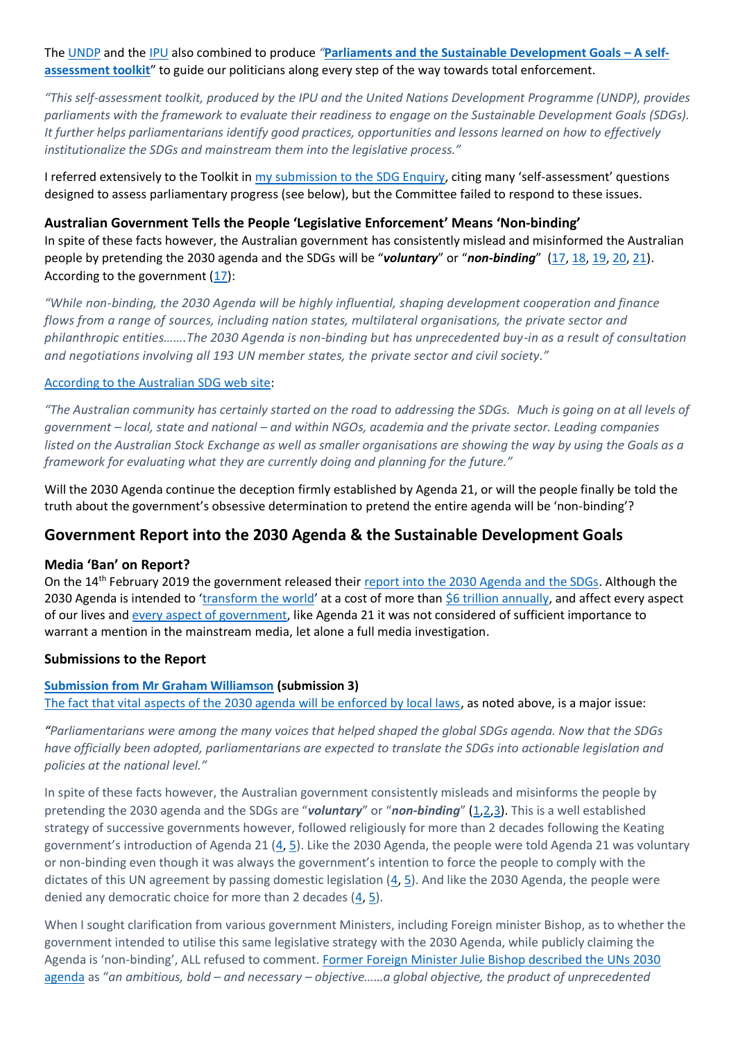The [UNDP](https://www.undp.org/content/undp/en/home.html) and the [IPU](https://www.ipu.org/) also combined to produce *"***[Parliaments and the Sustainable Development Goals](https://www.ipu.org/resources/publications/handbooks/2017-01/parliaments-and-sustainable-development-goals-self-assessment-toolkit) – A self[assessment toolkit](https://www.ipu.org/resources/publications/handbooks/2017-01/parliaments-and-sustainable-development-goals-self-assessment-toolkit)**" to guide our politicians along every step of the way towards total enforcement.

*"This self-assessment toolkit, produced by the IPU and the United Nations Development Programme (UNDP), provides parliaments with the framework to evaluate their readiness to engage on the Sustainable Development Goals (SDGs). It further helps parliamentarians identify good practices, opportunities and lessons learned on how to effectively institutionalize the SDGs and mainstream them into the legislative process."*

I referred extensively to the Toolkit in [my submission to the SDG Enquiry](https://www.aph.gov.au/DocumentStore.ashx?id=0b5b961d-77a5-4da9-87e7-7ca568baf91f&subId=563888), citing many 'self-assessment' questions designed to assess parliamentary progress (see below), but the Committee failed to respond to these issues.

### **Australian Government Tells the People 'Legislative Enforcement' Means 'Non-binding'**

In spite of these facts however, the Australian government has consistently mislead and misinformed the Australian people by pretending the 2030 agenda and the SDGs will be "*voluntary*" or "*non-binding*" [\(17,](https://web.archive.org/web/20160325190233/http:/dfat.gov.au/aid/topics/development-issues/global-development-agenda/Pages/global-development-agenda.aspx) [18,](https://consultations.health.gov.au/health-systems-policy-division/health-in-the-2030-agenda-for-sustainable-developm/supporting_documents/The%202030%20Agenda%20%20Fact%20Sheet.pdf) [19,](https://www.education.gov.au/2030-agenda-sustainable-development) [20,](http://www.agriculture.gov.au/market-access-trade/2030-agenda-sustainable-dev-goals) [21\)](https://www.healthyillawarra.org.au/index.php/resources/united-nations-un-sustainable-development-goals-sdg). According to the government  $(17)$ :

*"While non-binding, the 2030 Agenda will be highly influential, shaping development cooperation and finance flows from a range of sources, including nation states, multilateral organisations, the private sector and philanthropic entities…….The 2030 Agenda is non-binding but has unprecedented buy-in as a result of consultation and negotiations involving all 193 UN member states, the private sector and civil society."*

### [According to the Australian SDG web site:](https://sdgs.org.au/about-us/)

*"The Australian community has certainly started on the road to addressing the SDGs. Much is going on at all levels of government – local, state and national – and within NGOs, academia and the private sector. Leading companies listed on the Australian Stock Exchange as well as smaller organisations are showing the way by using the Goals as a framework for evaluating what they are currently doing and planning for the future."*

Will the 2030 Agenda continue the deception firmly established by Agenda 21, or will the people finally be told the truth about the government's obsessive determination to pretend the entire agenda will be 'non-binding'?

### **Government Report into the 2030 Agenda & the Sustainable Development Goals**

### **Media 'Ban' on Report?**

On the 14<sup>th</sup> February 2019 the government released their [report into the 2030 Agenda and the SDGs.](https://www.aph.gov.au/Parliamentary_Business/Committees/Senate/Foreign_Affairs_Defence_and_Trade/SDGs/Report) Although the 2030 Agenda is intended to '[transform the world](https://sustainabledevelopment.un.org/post2015/transformingourworld)' at a cost of more than [\\$6 trillion annually,](https://www.globalpolicywatch.org/blog/2017/05/29/funding-needs-for-uns-2030-development-agenda/) and affect every aspect of our lives and [every aspect of government,](https://dfat.gov.au/aid/topics/development-issues/2030-agenda/Pages/sustainable-development-goals.aspx) like Agenda 21 it was not considered of sufficient importance to warrant a mention in the mainstream media, let alone a full media investigation.

### **Submissions to the Report**

#### **[Submission from Mr Graham Williamson](https://www.aph.gov.au/DocumentStore.ashx?id=0b5b961d-77a5-4da9-87e7-7ca568baf91f&subId=563888) (submission 3)**

[The fact that vital aspects of the 2030 agenda will be enforced by local laws,](https://www.agora-parl.org/resources/aoe/sustainable-development-goals-sdgs-post-2015-agenda) as noted above, is a major issue:

*"Parliamentarians were among the many voices that helped shaped the global SDGs agenda. Now that the SDGs have officially been adopted, parliamentarians are expected to translate the SDGs into actionable legislation and policies at the national level."*

In spite of these facts however, the Australian government consistently misleads and misinforms the people by pretending the 2030 agenda and the SDGs are "*voluntary*" or "*non-binding*" [\(1](https://web.archive.org/web/20170801055209/http:/dfat.gov.au/aid/topics/development-issues/2030-agenda/Pages/default.aspx)[,2,3\)](https://consultations.health.gov.au/health-systems-policy-division/health-in-the-2030-agenda-for-sustainable-developm/supporting_documents/The%202030%20Agenda%20%20Fact%20Sheet.pdf). This is a well established strategy of successive governments however, followed religiously for more than 2 decades following the Keating government's introduction of Agenda 21 ([4,](http://www.galileomovement.com.au/docs/gw/Agenda21MediaFacts.pdf) [5\)](http://www.galileomovement.com.au/docs/gw/2030_AgendaBetrayal.pdf). Like the 2030 Agenda, the people were told Agenda 21 was voluntary or non-binding even though it was always the government's intention to force the people to comply with the dictates of this UN agreement by passing domestic legislation [\(4,](http://www.galileomovement.com.au/docs/gw/Agenda21MediaFacts.pdf) [5\)](http://www.galileomovement.com.au/docs/gw/2030_AgendaBetrayal.pdf). And like the 2030 Agenda, the people were denied any democratic choice for more than 2 decades  $(4, 5)$  $(4, 5)$ .

When I sought clarification from various government Ministers, including Foreign minister Bishop, as to whether the government intended to utilise this same legislative strategy with the 2030 Agenda, while publicly claiming the Agenda is 'non-binding', ALL refused to comment. [Former Foreign Minister Julie Bishop described the UNs 2030](https://web.archive.org/web/20170818193409/https:/foreignminister.gov.au/speeches/Pages/2015/jb_sp_150927b.aspx?w=tb1CaGpkPX%2FlS0K%2Bg9ZKEg%3D%3D)  [agenda](https://web.archive.org/web/20170818193409/https:/foreignminister.gov.au/speeches/Pages/2015/jb_sp_150927b.aspx?w=tb1CaGpkPX%2FlS0K%2Bg9ZKEg%3D%3D) as "*an ambitious, bold – and necessary – objective……a global objective, the product of unprecedented*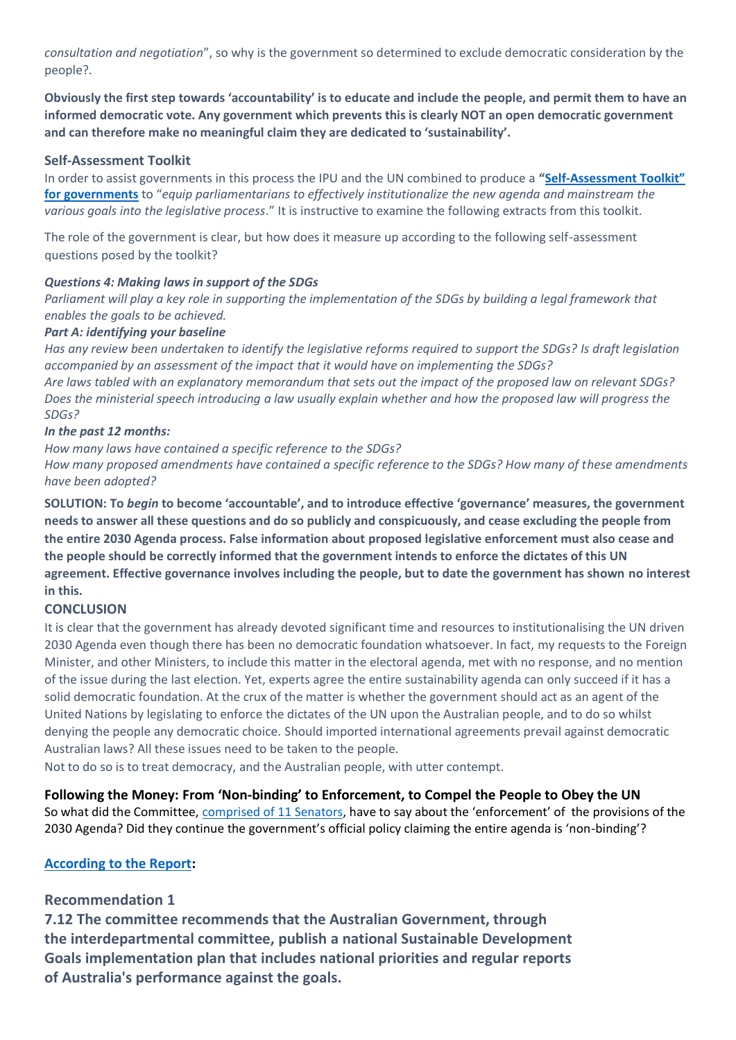*consultation and negotiation*", so why is the government so determined to exclude democratic consideration by the people?.

**Obviously the first step towards 'accountability' is to educate and include the people, and permit them to have an informed democratic vote. Any government which prevents this is clearly NOT an open democratic government and can therefore make no meaningful claim they are dedicated to 'sustainability'.**

### **Self-Assessment Toolkit**

In order to assist governments in this process the IPU and the UN combined to produce a **"Self-[Assessment Toolkit"](https://www.ipu.org/resources/publications/handbooks/2017-01/parliaments-and-sustainable-development-goals-self-assessment-toolkit)  [for governments](https://www.ipu.org/resources/publications/handbooks/2017-01/parliaments-and-sustainable-development-goals-self-assessment-toolkit)** to "*equip parliamentarians to effectively institutionalize the new agenda and mainstream the various goals into the legislative process*." It is instructive to examine the following extracts from this toolkit.

The role of the government is clear, but how does it measure up according to the following self-assessment questions posed by the toolkit?

#### *Questions 4: Making laws in support of the SDGs*

*Parliament will play a key role in supporting the implementation of the SDGs by building a legal framework that enables the goals to be achieved.*

#### *Part A: identifying your baseline*

*Has any review been undertaken to identify the legislative reforms required to support the SDGs? Is draft legislation accompanied by an assessment of the impact that it would have on implementing the SDGs? Are laws tabled with an explanatory memorandum that sets out the impact of the proposed law on relevant SDGs? Does the ministerial speech introducing a law usually explain whether and how the proposed law will progress the SDGs?*

#### *In the past 12 months:*

*How many laws have contained a specific reference to the SDGs? How many proposed amendments have contained a specific reference to the SDGs? How many of these amendments have been adopted?*

**SOLUTION: To** *begin* **to become 'accountable', and to introduce effective 'governance' measures, the government needs to answer all these questions and do so publicly and conspicuously, and cease excluding the people from the entire 2030 Agenda process. False information about proposed legislative enforcement must also cease and the people should be correctly informed that the government intends to enforce the dictates of this UN agreement. Effective governance involves including the people, but to date the government has shown no interest in this.**

#### **CONCLUSION**

It is clear that the government has already devoted significant time and resources to institutionalising the UN driven 2030 Agenda even though there has been no democratic foundation whatsoever. In fact, my requests to the Foreign Minister, and other Ministers, to include this matter in the electoral agenda, met with no response, and no mention of the issue during the last election. Yet, experts agree the entire sustainability agenda can only succeed if it has a solid democratic foundation. At the crux of the matter is whether the government should act as an agent of the United Nations by legislating to enforce the dictates of the UN upon the Australian people, and to do so whilst denying the people any democratic choice. Should imported international agreements prevail against democratic Australian laws? All these issues need to be taken to the people.

Not to do so is to treat democracy, and the Australian people, with utter contempt.

**Following the Money: From 'Non-binding' to Enforcement, to Compel the People to Obey the UN** So what did the Committee, [comprised of 11 Senators,](https://www.aph.gov.au/Parliamentary_Business/Committees/Senate/Foreign_Affairs_Defence_and_Trade/SDGs/~/media/Committees/fadt_ctte/SDGs/a01.pdf) have to say about the 'enforcement' of the provisions of the 2030 Agenda? Did they continue the government's official policy claiming the entire agenda is 'non-binding'?

### **[According to the Report:](https://www.aph.gov.au/Parliamentary_Business/Committees/Senate/Foreign_Affairs_Defence_and_Trade/SDGs/Report)**

### **Recommendation 1**

**7.12 The committee recommends that the Australian Government, through the interdepartmental committee, publish a national Sustainable Development Goals implementation plan that includes national priorities and regular reports of Australia's performance against the goals.**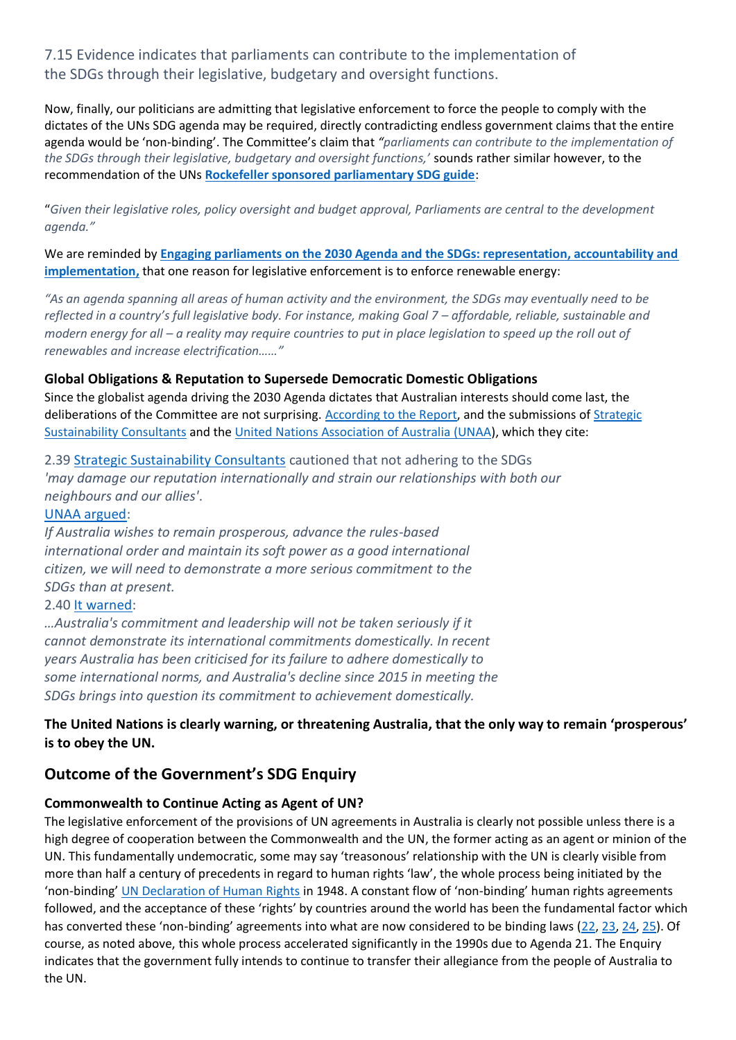### 7.15 Evidence indicates that parliaments can contribute to the implementation of the SDGs through their legislative, budgetary and oversight functions.

Now, finally, our politicians are admitting that legislative enforcement to force the people to comply with the dictates of the UNs SDG agenda may be required, directly contradicting endless government claims that the entire agenda would be 'non-binding'. The Committee's claim that *"parliaments can contribute to the implementation of the SDGs through their legislative, budgetary and oversight functions,'* sounds rather similar however, to the recommendation of the UNs **[Rockefeller sponsored parliamentary SDG guide](https://myworld2015.files.wordpress.com/2017/04/parliamentary-manual-updated.pdf)**:

"*Given their legislative roles, policy oversight and budget approval, Parliaments are central to the development agenda."*

We are reminded by **[Engaging parliaments on the 2030 Agenda and the SDGs: representation, accountability and](https://www.together2030.org/wp-content/uploads/2018/07/Engaging-parliaments-on-the-2030-Agenda-and-the-SDGs.pdf)  [implementation,](https://www.together2030.org/wp-content/uploads/2018/07/Engaging-parliaments-on-the-2030-Agenda-and-the-SDGs.pdf)** that one reason for legislative enforcement is to enforce renewable energy:

*"As an agenda spanning all areas of human activity and the environment, the SDGs may eventually need to be reflected in a country's full legislative body. For instance, making Goal 7 – affordable, reliable, sustainable and modern energy for all – a reality may require countries to put in place legislation to speed up the roll out of renewables and increase electrification……"*

### **Global Obligations & Reputation to Supersede Democratic Domestic Obligations**

Since the globalist agenda driving the 2030 Agenda dictates that Australian interests should come last, the deliberations of the Committee are not surprising. [According to the Report,](https://www.aph.gov.au/Parliamentary_Business/Committees/Senate/Foreign_Affairs_Defence_and_Trade/SDGs/Report) and the submissions of [Strategic](https://www.aph.gov.au/DocumentStore.ashx?id=549df540-9c34-47ea-a2e4-d0c629b87b2d&subId=564549)  [Sustainability Consultants](https://www.aph.gov.au/DocumentStore.ashx?id=549df540-9c34-47ea-a2e4-d0c629b87b2d&subId=564549) and the [United Nations Association of Australia](https://www.aph.gov.au/DocumentStore.ashx?id=2d8a3aa4-d0c4-4807-a630-ec2cc79050d9&subId=564543) (UNAA), which they cite:

2.39 [Strategic Sustainability Consultants](https://www.aph.gov.au/DocumentStore.ashx?id=549df540-9c34-47ea-a2e4-d0c629b87b2d&subId=564549) cautioned that not adhering to the SDGs *'may damage our reputation internationally and strain our relationships with both our neighbours and our allies'*.

### [UNAA argued:](https://www.aph.gov.au/DocumentStore.ashx?id=2d8a3aa4-d0c4-4807-a630-ec2cc79050d9&subId=564543)

*If Australia wishes to remain prosperous, advance the rules-based international order and maintain its soft power as a good international citizen, we will need to demonstrate a more serious commitment to the SDGs than at present.*

### 2.40 [It warned:](https://www.aph.gov.au/DocumentStore.ashx?id=2d8a3aa4-d0c4-4807-a630-ec2cc79050d9&subId=564543)

*…Australia's commitment and leadership will not be taken seriously if it cannot demonstrate its international commitments domestically. In recent years Australia has been criticised for its failure to adhere domestically to some international norms, and Australia's decline since 2015 in meeting the SDGs brings into question its commitment to achievement domestically.*

### **The United Nations is clearly warning, or threatening Australia, that the only way to remain 'prosperous' is to obey the UN.**

### **Outcome of the Government's SDG Enquiry**

### **Commonwealth to Continue Acting as Agent of UN?**

The legislative enforcement of the provisions of UN agreements in Australia is clearly not possible unless there is a high degree of cooperation between the Commonwealth and the UN, the former acting as an agent or minion of the UN. This fundamentally undemocratic, some may say 'treasonous' relationship with the UN is clearly visible from more than half a century of precedents in regard to human rights 'law', the whole process being initiated by the 'non-binding' [UN Declaration of Human Rights](http://www.un.org/en/universal-declaration-human-rights/) in 1948. A constant flow of 'non-binding' human rights agreements followed, and the acceptance of these 'rights' by countries around the world has been the fundamental factor which has converted these 'non-binding' agreements into what are now considered to be binding laws ([22,](http://medicalwhistlebloweradvocacynetwork.com/hard-vs-soft-international-law) [23,](https://lawaspect.com/universal-declaration-human-rights-hard-law-instrument/) [24,](https://univ-droit.fr/recherche/actualites-de-la-recherche/parutions/21127-tracing-the-roles-of-soft-law-in-human-rights) [25\)](http://classic.austlii.edu.au/au/journals/AUIntLawJl/2000/3.pdf). Of course, as noted above, this whole process accelerated significantly in the 1990s due to Agenda 21. The Enquiry indicates that the government fully intends to continue to transfer their allegiance from the people of Australia to the UN.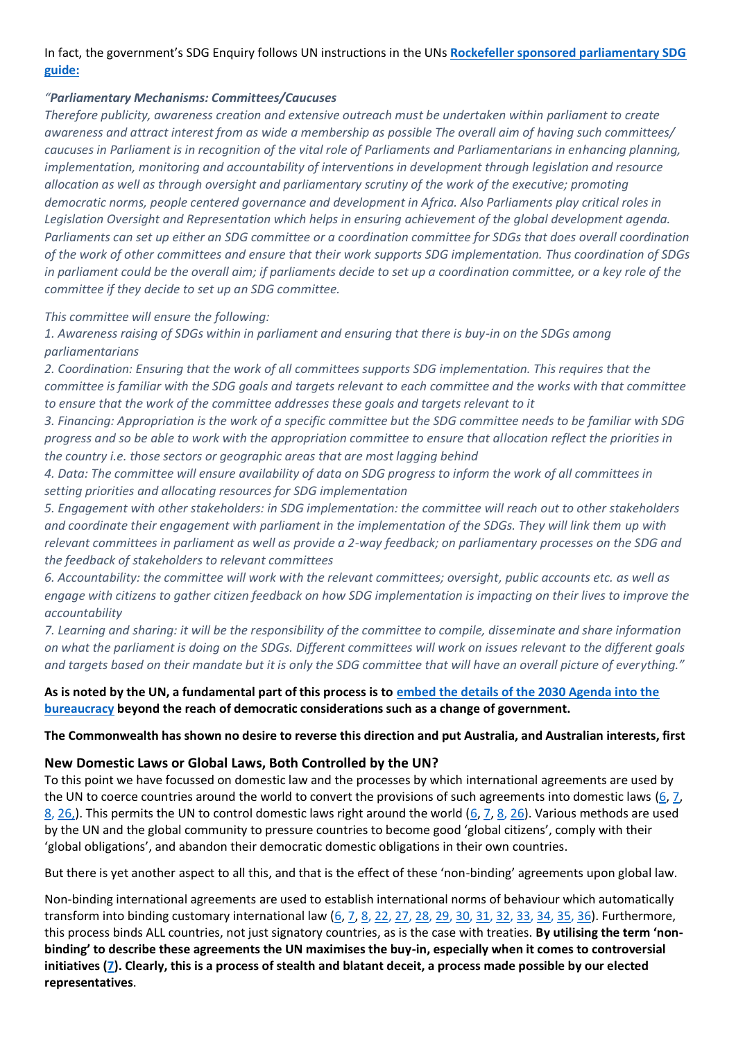### In fact, the government's SDG Enquiry follows UN instructions in the UNs **[Rockefeller sponsored parliamentary SDG](https://myworld2015.files.wordpress.com/2017/04/parliamentary-manual-updated.pdf)  [guide:](https://myworld2015.files.wordpress.com/2017/04/parliamentary-manual-updated.pdf)**

### *"Parliamentary Mechanisms: Committees/Caucuses*

*Therefore publicity, awareness creation and extensive outreach must be undertaken within parliament to create awareness and attract interest from as wide a membership as possible The overall aim of having such committees/ caucuses in Parliament is in recognition of the vital role of Parliaments and Parliamentarians in enhancing planning, implementation, monitoring and accountability of interventions in development through legislation and resource allocation as well as through oversight and parliamentary scrutiny of the work of the executive; promoting democratic norms, people centered governance and development in Africa. Also Parliaments play critical roles in Legislation Oversight and Representation which helps in ensuring achievement of the global development agenda. Parliaments can set up either an SDG committee or a coordination committee for SDGs that does overall coordination of the work of other committees and ensure that their work supports SDG implementation. Thus coordination of SDGs in parliament could be the overall aim; if parliaments decide to set up a coordination committee, or a key role of the committee if they decide to set up an SDG committee.*

### *This committee will ensure the following:*

*1. Awareness raising of SDGs within in parliament and ensuring that there is buy-in on the SDGs among parliamentarians* 

*2. Coordination: Ensuring that the work of all committees supports SDG implementation. This requires that the committee is familiar with the SDG goals and targets relevant to each committee and the works with that committee to ensure that the work of the committee addresses these goals and targets relevant to it* 

*3. Financing: Appropriation is the work of a specific committee but the SDG committee needs to be familiar with SDG progress and so be able to work with the appropriation committee to ensure that allocation reflect the priorities in the country i.e. those sectors or geographic areas that are most lagging behind* 

*4. Data: The committee will ensure availability of data on SDG progress to inform the work of all committees in setting priorities and allocating resources for SDG implementation* 

*5. Engagement with other stakeholders: in SDG implementation: the committee will reach out to other stakeholders and coordinate their engagement with parliament in the implementation of the SDGs. They will link them up with relevant committees in parliament as well as provide a 2-way feedback; on parliamentary processes on the SDG and the feedback of stakeholders to relevant committees* 

*6. Accountability: the committee will work with the relevant committees; oversight, public accounts etc. as well as engage with citizens to gather citizen feedback on how SDG implementation is impacting on their lives to improve the accountability* 

*7. Learning and sharing: it will be the responsibility of the committee to compile, disseminate and share information on what the parliament is doing on the SDGs. Different committees will work on issues relevant to the different goals and targets based on their mandate but it is only the SDG committee that will have an overall picture of everything."*

### **As is noted by the UN, a fundamental part of this process is to [embed the details of the 2030 Agenda into the](https://dfat.gov.au/aid/topics/development-issues/2030-agenda/Pages/sustainable-development-goals.aspx)  [bureaucracy](https://dfat.gov.au/aid/topics/development-issues/2030-agenda/Pages/sustainable-development-goals.aspx) beyond the reach of democratic considerations such as a change of government.**

### **The Commonwealth has shown no desire to reverse this direction and put Australia, and Australian interests, first**

### **New Domestic Laws or Global Laws, Both Controlled by the UN?**

To this point we have focussed on domestic law and the processes by which international agreements are used by the UN to coerce countries around the world to convert the provisions of such agreements into domestic laws  $(6, 7, 7)$  $(6, 7, 7)$  $(6, 7, 7)$  $8, 26$  $8, 26$ .). This permits the UN to control domestic laws right around the world [\(6,](http://www.galileomovement.com.au/docs/gw/Agenda21MediaFacts.pdf) [7,](http://theclimatescepticsparty.blogspot.com/2019/01/subversion-of-democracy-by-persistent.html) [8,](http://www.galileomovement.com.au/docs/gw/COAG_Democracy_Agenda21.pdf) [26\)](http://theclimatescepticsparty.blogspot.com/2018/10/should-our-children-have-democracy.html). Various methods are used by the UN and the global community to pressure countries to become good 'global citizens', comply with their 'global obligations', and abandon their democratic domestic obligations in their own countries.

But there is yet another aspect to all this, and that is the effect of these 'non-binding' agreements upon global law.

Non-binding international agreements are used to establish international norms of behaviour which automatically transform into binding customary international law [\(6,](http://www.galileomovement.com.au/docs/gw/Agenda21MediaFacts.pdf) [7,](http://theclimatescepticsparty.blogspot.com/2019/01/subversion-of-democracy-by-persistent.html) [8,](http://www.galileomovement.com.au/docs/gw/COAG_Democracy_Agenda21.pdf) [22,](http://theclimatescepticsparty.blogspot.com/2018/10/should-our-children-have-democracy.html) [27,](https://clexit.net/2018/09/19/from-clexit-to-unexit/) [28,](http://www.galileomovement.com.au/docs/gw/UNsolutions_or_OZsolutions.pdf) [29,](http://www.eajournals.org/wp-content/uploads/Role-of-Soft-Law-in-Environmental-Protection-An-Overview.pdf) [30,](https://www.aph.gov.au/About_Parliament/Parliamentary_Departments/Parliamentary_Library/Publications_Archive/CIB/cib9596/96cib17) [31,](http://www.unesco.org/new/en/social-and-human-sciences/themes/advancement/networks/larno/legal-instruments/nature-and-status/) [32,](http://www.austlii.edu.au/au/journals/FedLRev/1996/3.pdf) [33,](http://www.lec.justice.nsw.gov.au/Documents/prestoncj%20globalisation%20and%20harmonisation%20of%20environmental%20law%20-%20(2013)%2016%20apjel%201.pdf) [34,](http://www.austlii.edu.au/au/journals/AUIntLawJl/2002/4.pdf) [35,](https://web.archive.org/web/20150409134841/https:/www.unesco.de/wissenschaft/bis-2009/invaluable-role-of-soft-law.html) [36\)](http://www.austlii.edu.au/au/journals/MqJICEL/2006/11.html). Furthermore, this process binds ALL countries, not just signatory countries, as is the case with treaties. **By utilising the term 'nonbinding' to describe these agreements the UN maximises the buy-in, especially when it comes to controversial initiatives [\(7\)](http://theclimatescepticsparty.blogspot.com/2019/01/subversion-of-democracy-by-persistent.html). Clearly, this is a process of stealth and blatant deceit, a process made possible by our elected representatives**.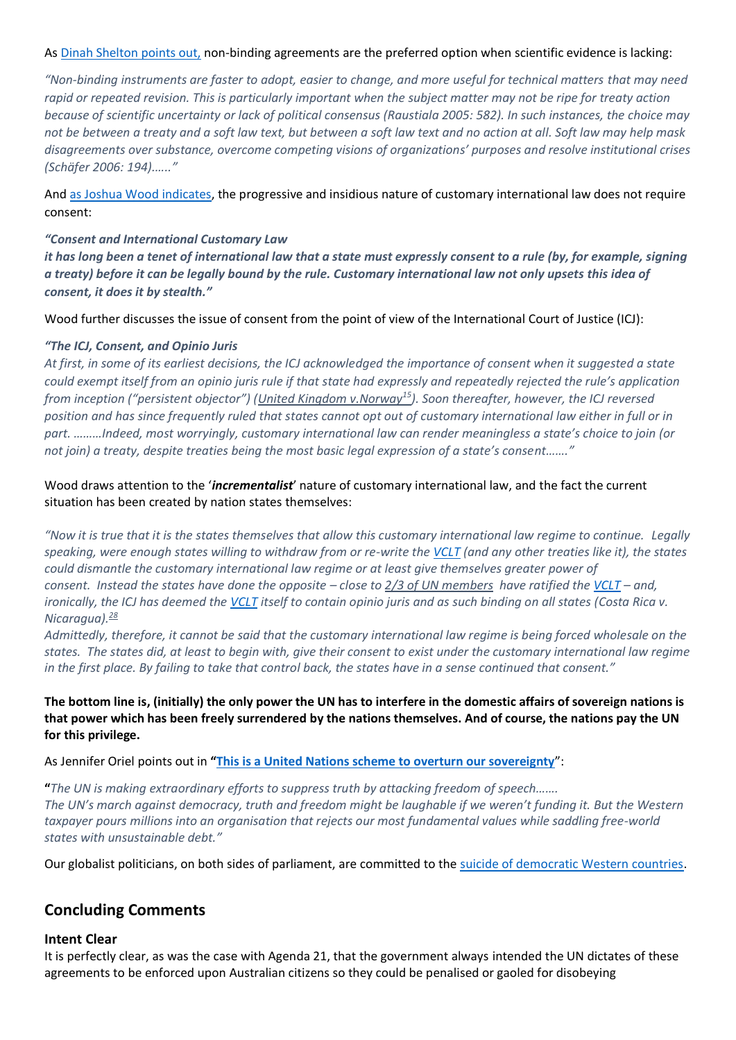### As [Dinah Shelton points out,](https://scholarship.law.gwu.edu/cgi/viewcontent.cgi?article=2048&context=faculty_publications) non-binding agreements are the preferred option when scientific evidence is lacking:

*"Non-binding instruments are faster to adopt, easier to change, and more useful for technical matters that may need rapid or repeated revision. This is particularly important when the subject matter may not be ripe for treaty action because of scientific uncertainty or lack of political consensus (Raustiala 2005: 582). In such instances, the choice may not be between a treaty and a soft law text, but between a soft law text and no action at all. Soft law may help mask disagreements over substance, overcome competing visions of organizations' purposes and resolve institutional crises (Schäfer 2006: 194).….."*

And [as Joshua Wood indicates,](https://web.archive.org/web/20180410020228/https:/www.ruleoflaw.org.au/customary-international-law/) the progressive and insidious nature of customary international law does not require consent:

### *"Consent and International Customary Law*

*it has long been a tenet of international law that a state must expressly consent to a rule (by, for example, signing a treaty) before it can be legally bound by the rule. Customary international law not only upsets this idea of consent, it does it by stealth."*

Wood further discusses the issue of consent from the point of view of the International Court of Justice (ICJ):

### *"The ICJ, Consent, and Opinio Juris*

*At first, in some of its earliest decisions, the ICJ acknowledged the importance of consent when it suggested a state could exempt itself from an opinio juris rule if that state had expressly and repeatedly rejected the rule's application from inception ("persistent objector") ([United Kingdom v.Norway](https://web.archive.org/web/20180410020228/http:/www.icj-cij.org/docket/files/5/1809.pdf)[15](https://web.archive.org/web/20180410020228/https:/www.ruleoflaw.org.au/customary-international-law/#note-10498-15)). Soon thereafter, however, the ICJ reversed position and has since frequently ruled that states cannot opt out of customary international law either in full or in part. ………Indeed, most worryingly, customary international law can render meaningless a state's choice to join (or not join) a treaty, despite treaties being the most basic legal expression of a state's consent……."*

### Wood draws attention to the '*incrementalist*' nature of customary international law, and the fact the current situation has been created by nation states themselves:

*"Now it is true that it is the states themselves that allow this customary international law regime to continue. Legally speaking, were enough states willing to withdraw from or re-write the [VCLT](http://www.austlii.edu.au/au/other/dfat/treaties/1974/2.html) (and any other treaties like it), the states could dismantle the customary international law regime or at least give themselves greater power of consent. Instead the states have done the opposite – close to 2/3 [of UN members](https://web.archive.org/web/20180410020228/https:/treaties.un.org/pages/ViewDetailsIII.aspx?src=TREATY&mtdsg_no=XXIII-1&chapter=23&Temp=mtdsg3&clang=_en%5d) have ratified the [VCLT](http://www.austlii.edu.au/au/other/dfat/treaties/1974/2.html) – and, ironically, the ICJ has deemed the [VCLT](http://www.austlii.edu.au/au/other/dfat/treaties/1974/2.html) itself to contain opinio juris and as such binding on all states (Costa Rica v. Nicaragua).[28](https://web.archive.org/web/20180410020228/https:/www.ruleoflaw.org.au/customary-international-law/#note-10498-28)*

*Admittedly, therefore, it cannot be said that the customary international law regime is being forced wholesale on the states. The states did, at least to begin with, give their consent to exist under the customary international law regime in the first place. By failing to take that control back, the states have in a sense continued that consent."*

### **The bottom line is, (initially) the only power the UN has to interfere in the domestic affairs of sovereign nations is that power which has been freely surrendered by the nations themselves. And of course, the nations pay the UN for this privilege.**

As Jennifer Oriel points out in **"[This is a United Nations scheme to overturn our sovereignty](https://www.theaustralian.com.au/opinion/this-is-a-united-nations-scheme-to-overturn-our-sovereignty/news-story/ad62f83610f9e53ba4720c14351c9ff5?nk=3de725e3bb3b776c26660bf31339e256-1539139654)**":

**"***The UN is making extraordinary efforts to suppress truth by attacking freedom of speech……. The UN's march against democracy, truth and freedom might be laughable if we weren't funding it. But the Western*  taxpayer pours millions into an organisation that rejects our most fundamental values while saddling free-world *states with unsustainable debt."*

Our globalist politicians, on both sides of parliament, are committed to the [suicide of democratic Western countries.](https://quadrant.org.au/magazine/2012/03/global-governance-v-democratic-sovereignty/)

### **Concluding Comments**

#### **Intent Clear**

It is perfectly clear, as was the case with Agenda 21, that the government always intended the UN dictates of these agreements to be enforced upon Australian citizens so they could be penalised or gaoled for disobeying